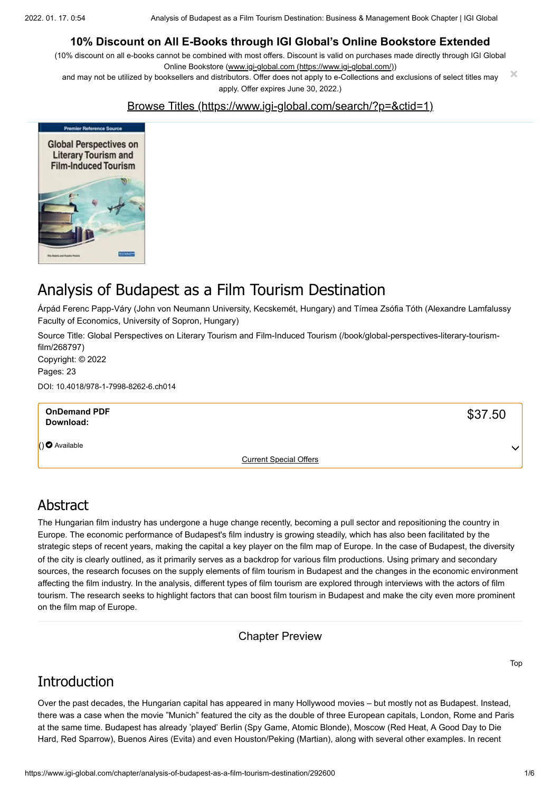#### **10% Discount on All E-Books through IGI Global's Online Bookstore Extended**

(10% discount on all e-books cannot be combined with most offers. Discount is valid on purchases made directly through IGI Global Online Bookstore ([www.igi-global.com \(https://www.igi-global.com/\)\)](https://www.igi-global.com/)

and may not be utilized by booksellers and distributors. Offer does not apply to e-Collections and exclusions of select titles may apply. Offer expires June 30, 2022.) **×**

#### [Browse Titles \(https://www.igi-global.com/search/?p=&ctid=1\)](https://www.igi-global.com/search/?p=&ctid=1)



# Analysis of Budapest as a Film Tourism Destination

Árpád Ferenc Papp-Váry (John von Neumann University, Kecskemét, Hungary) and Tímea Zsófia Tóth (Alexandre Lamfalussy Faculty of Economics, University of Sopron, Hungary)

[Source Title: Global Perspectives on Literary Tourism and Film-Induced Tourism \(/book/global-perspectives-literary-tourism](https://www.igi-global.com/book/global-perspectives-literary-tourism-film/268797)film/268797) Copyright: © 2022

Pages: 23

DOI: 10.4018/978-1-7998-8262-6.ch014

| <b>OnDemand PDF</b><br>Download: |                               | \$37.50      |
|----------------------------------|-------------------------------|--------------|
| $( ) \bigcirc$ Available         |                               | $\checkmark$ |
|                                  | <b>Current Special Offers</b> |              |

#### Abstract

The Hungarian film industry has undergone a huge change recently, becoming a pull sector and repositioning the country in Europe. The economic performance of Budapest's film industry is growing steadily, which has also been facilitated by the strategic steps of recent years, making the capital a key player on the film map of Europe. In the case of Budapest, the diversity of the city is clearly outlined, as it primarily serves as a backdrop for various film productions. Using primary and secondary sources, the research focuses on the supply elements of film tourism in Budapest and the changes in the economic environment affecting the film industry. In the analysis, different types of film tourism are explored through interviews with the actors of film tourism. The research seeks to highlight factors that can boost film tourism in Budapest and make the city even more prominent on the film map of Europe.

Chapter Preview

## **Introduction**

Over the past decades, the Hungarian capital has appeared in many Hollywood movies – but mostly not as Budapest. Instead, there was a case when the movie "Munich" featured the city as the double of three European capitals, London, Rome and Paris at the same time. Budapest has already 'played' Berlin (Spy Game, Atomic Blonde), Moscow (Red Heat, A Good Day to Die Hard, Red Sparrow), Buenos Aires (Evita) and even Houston/Peking (Martian), along with several other examples. In recent

Top